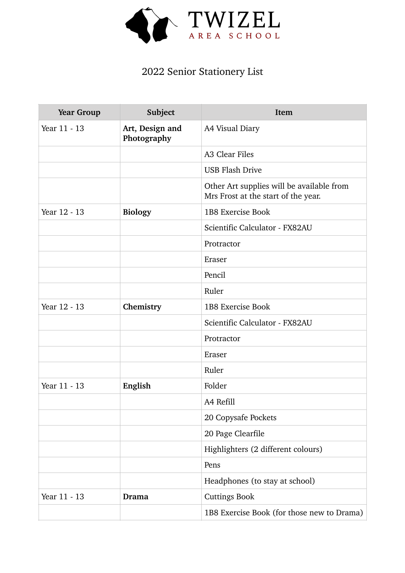

## 2022 Senior Stationery List

| <b>Year Group</b> | Subject                        | Item                                                                             |
|-------------------|--------------------------------|----------------------------------------------------------------------------------|
| Year 11 - 13      | Art, Design and<br>Photography | A4 Visual Diary                                                                  |
|                   |                                | A3 Clear Files                                                                   |
|                   |                                | <b>USB Flash Drive</b>                                                           |
|                   |                                | Other Art supplies will be available from<br>Mrs Frost at the start of the year. |
| Year 12 - 13      | <b>Biology</b>                 | 1B8 Exercise Book                                                                |
|                   |                                | Scientific Calculator - FX82AU                                                   |
|                   |                                | Protractor                                                                       |
|                   |                                | Eraser                                                                           |
|                   |                                | Pencil                                                                           |
|                   |                                | Ruler                                                                            |
| Year 12 - 13      | Chemistry                      | 1B8 Exercise Book                                                                |
|                   |                                | Scientific Calculator - FX82AU                                                   |
|                   |                                | Protractor                                                                       |
|                   |                                | Eraser                                                                           |
|                   |                                | Ruler                                                                            |
| Year 11 - 13      | English                        | Folder                                                                           |
|                   |                                | A4 Refill                                                                        |
|                   |                                | 20 Copysafe Pockets                                                              |
|                   |                                | 20 Page Clearfile                                                                |
|                   |                                | Highlighters (2 different colours)                                               |
|                   |                                | Pens                                                                             |
|                   |                                | Headphones (to stay at school)                                                   |
| Year 11 - 13      | Drama                          | <b>Cuttings Book</b>                                                             |
|                   |                                | 1B8 Exercise Book (for those new to Drama)                                       |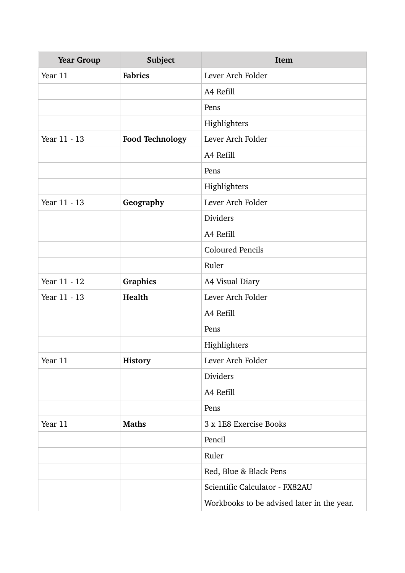| <b>Year Group</b> | Subject                | Item                                       |
|-------------------|------------------------|--------------------------------------------|
| Year 11           | <b>Fabrics</b>         | Lever Arch Folder                          |
|                   |                        | A4 Refill                                  |
|                   |                        | Pens                                       |
|                   |                        | Highlighters                               |
| Year 11 - 13      | <b>Food Technology</b> | Lever Arch Folder                          |
|                   |                        | A4 Refill                                  |
|                   |                        | Pens                                       |
|                   |                        | Highlighters                               |
| Year 11 - 13      | Geography              | Lever Arch Folder                          |
|                   |                        | Dividers                                   |
|                   |                        | A4 Refill                                  |
|                   |                        | <b>Coloured Pencils</b>                    |
|                   |                        | Ruler                                      |
| Year 11 - 12      | Graphics               | A4 Visual Diary                            |
| Year 11 - 13      | Health                 | Lever Arch Folder                          |
|                   |                        | A4 Refill                                  |
|                   |                        | Pens                                       |
|                   |                        | Highlighters                               |
| Year 11           | History                | Lever Arch Folder                          |
|                   |                        | <b>Dividers</b>                            |
|                   |                        | A4 Refill                                  |
|                   |                        | Pens                                       |
| Year 11           | <b>Maths</b>           | 3 x 1E8 Exercise Books                     |
|                   |                        | Pencil                                     |
|                   |                        | Ruler                                      |
|                   |                        | Red, Blue & Black Pens                     |
|                   |                        | Scientific Calculator - FX82AU             |
|                   |                        | Workbooks to be advised later in the year. |